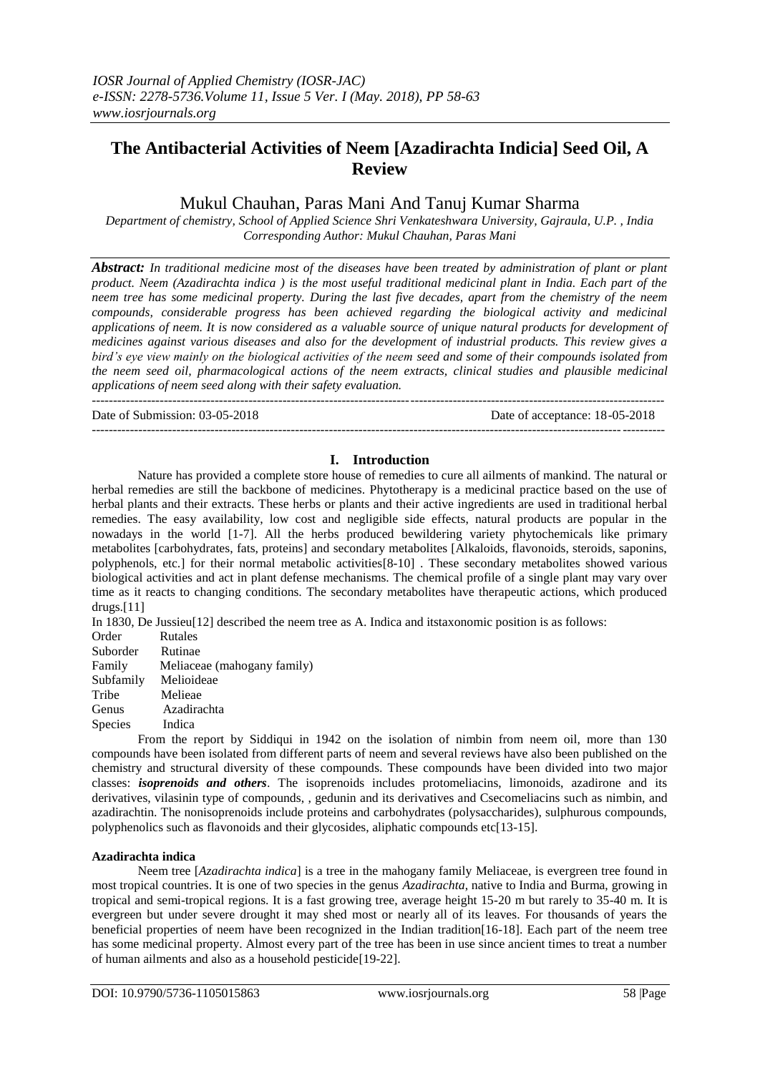# **The Antibacterial Activities of Neem [Azadirachta Indicia] Seed Oil, A Review**

## Mukul Chauhan, Paras Mani And Tanuj Kumar Sharma

*Department of chemistry, School of Applied Science Shri Venkateshwara University, Gajraula, U.P. , India Corresponding Author: Mukul Chauhan, Paras Mani*

*Abstract: In traditional medicine most of the diseases have been treated by administration of plant or plant product. Neem (Azadirachta indica ) is the most useful traditional medicinal plant in India. Each part of the neem tree has some medicinal property. During the last five decades, apart from the chemistry of the neem compounds, considerable progress has been achieved regarding the biological activity and medicinal applications of neem. It is now considered as a valuable source of unique natural products for development of medicines against various diseases and also for the development of industrial products. This review gives a bird's eye view mainly on the biological activities of the neem seed and some of their compounds isolated from the neem seed oil, pharmacological actions of the neem extracts, clinical studies and plausible medicinal applications of neem seed along with their safety evaluation. ---------------------------------------------------------------------------------------------------------------------------------------*

Date of Submission: 03-05-2018 Date of acceptance: 18-05-2018

## **I. Introduction**

---------------------------------------------------------------------------------------------------------------------------------------

Nature has provided a complete store house of remedies to cure all ailments of mankind. The natural or herbal remedies are still the backbone of medicines. Phytotherapy is a medicinal practice based on the use of herbal plants and their extracts. These herbs or plants and their active ingredients are used in traditional herbal remedies. The easy availability, low cost and negligible side effects, natural products are popular in the nowadays in the world [1-7]. All the herbs produced bewildering variety phytochemicals like primary metabolites [carbohydrates, fats, proteins] and secondary metabolites [Alkaloids, flavonoids, steroids, saponins, polyphenols, etc.] for their normal metabolic activities[8-10] . These secondary metabolites showed various biological activities and act in plant defense mechanisms. The chemical profile of a single plant may vary over time as it reacts to changing conditions. The secondary metabolites have therapeutic actions, which produced  $drugs.[11]$ 

In 1830, De Jussieu[12] described the neem tree as A. Indica and itstaxonomic position is as follows:

| Order     | <b>Rutales</b>              |
|-----------|-----------------------------|
| Suborder  | Rutinae                     |
| Family    | Meliaceae (mahogany family) |
| Subfamily | Melioideae                  |
| Tribe     | Melieae                     |
| Genus     | Azadirachta                 |
| Species   | Indica                      |

From the report by Siddiqui in 1942 on the isolation of nimbin from neem oil, more than 130 compounds have been isolated from different parts of neem and several reviews have also been published on the chemistry and structural diversity of these compounds. These compounds have been divided into two major classes: *isoprenoids and others*. The isoprenoids includes protomeliacins, limonoids, azadirone and its derivatives, vilasinin type of compounds, , gedunin and its derivatives and Csecomeliacins such as nimbin, and azadirachtin. The nonisoprenoids include proteins and carbohydrates (polysaccharides), sulphurous compounds, polyphenolics such as flavonoids and their glycosides, aliphatic compounds etc[13-15].

#### **Azadirachta indica**

Neem tree [*Azadirachta indica*] is a tree in the mahogany family Meliaceae, is evergreen tree found in most tropical countries. It is one of two species in the genus *Azadirachta*, native to India and Burma, growing in tropical and semi-tropical regions. It is a fast growing tree, average height 15-20 m but rarely to 35-40 m. It is evergreen but under severe drought it may shed most or nearly all of its leaves. For thousands of years the beneficial properties of neem have been recognized in the Indian tradition[16-18]. Each part of the neem tree has some medicinal property. Almost every part of the tree has been in use since ancient times to treat a number of human ailments and also as a household pesticide[19-22].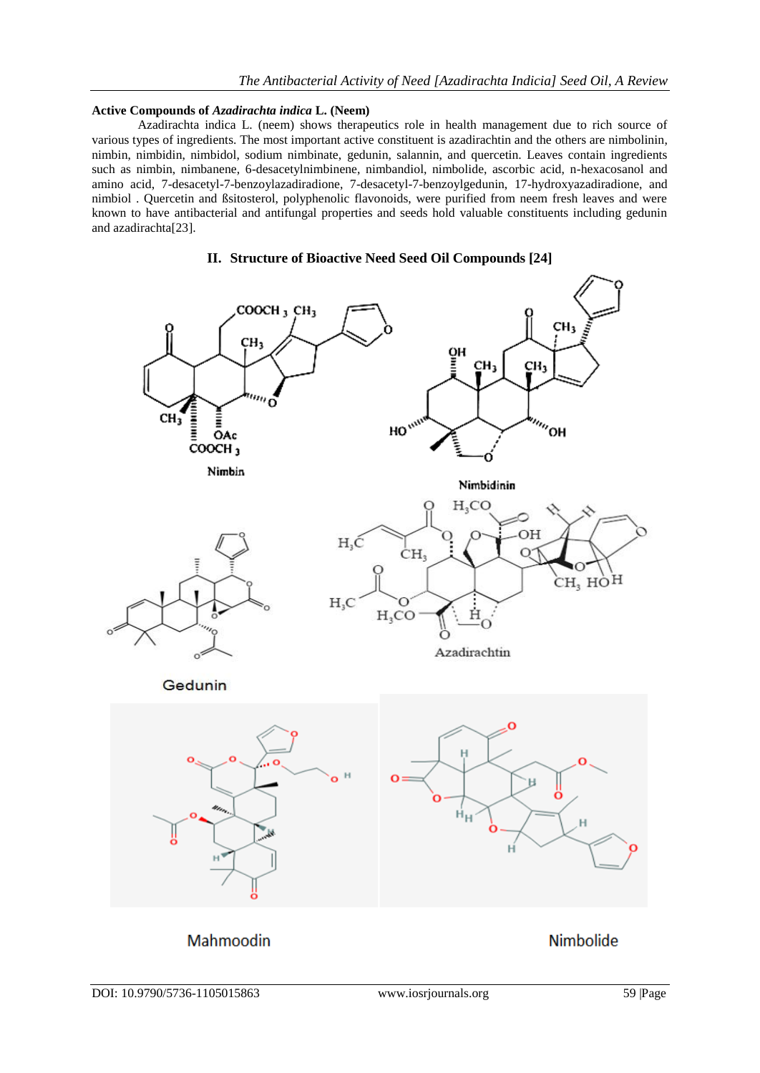### **Active Compounds of** *Azadirachta indica* **L. (Neem)**

Azadirachta indica L. (neem) shows therapeutics role in health management due to rich source of various types of ingredients. The most important active constituent is azadirachtin and the others are nimbolinin, nimbin, nimbidin, nimbidol, sodium nimbinate, gedunin, salannin, and quercetin. Leaves contain ingredients such as nimbin, nimbanene, 6-desacetylnimbinene, nimbandiol, nimbolide, ascorbic acid, n-hexacosanol and amino acid, 7-desacetyl-7-benzoylazadiradione, 7-desacetyl-7-benzoylgedunin, 17-hydroxyazadiradione, and nimbiol . Quercetin and ßsitosterol, polyphenolic flavonoids, were purified from neem fresh leaves and were known to have antibacterial and antifungal properties and seeds hold valuable constituents including gedunin and azadirachta[23].



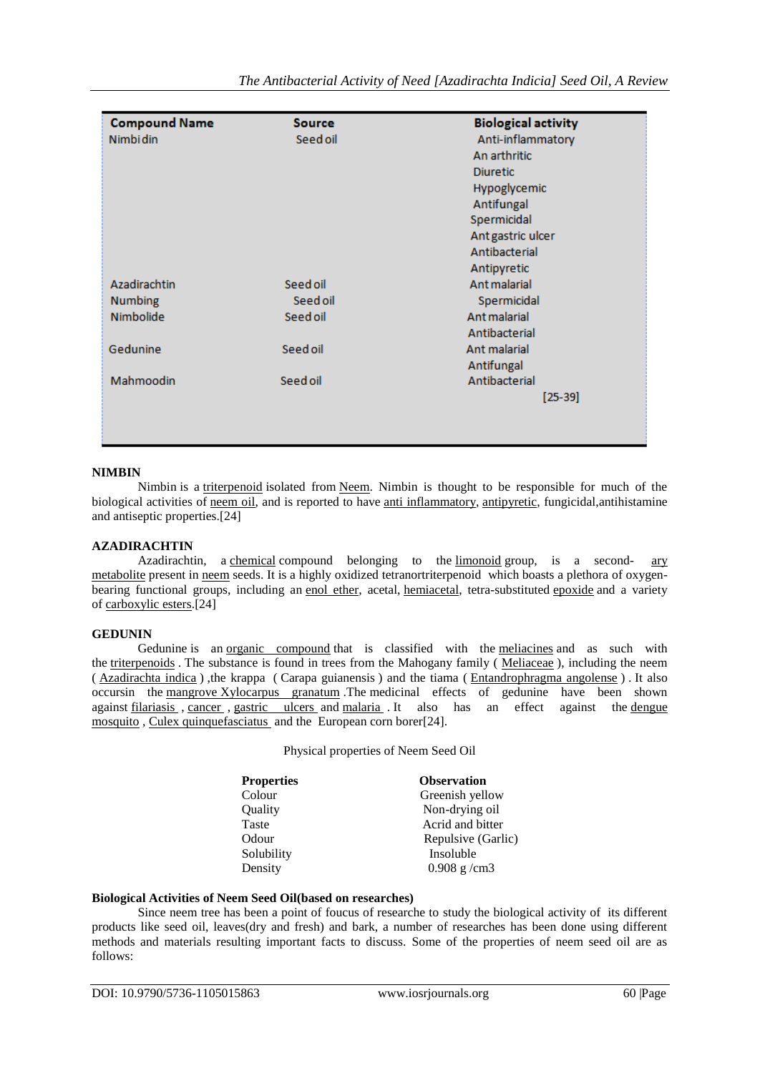|                      | Source   | <b>Biological activity</b> |
|----------------------|----------|----------------------------|
| <b>Compound Name</b> |          |                            |
| <b>Nimbi din</b>     | Seed oil | Anti-inflammatory          |
|                      |          | An arthritic               |
|                      |          | <b>Diuretic</b>            |
|                      |          | Hypoglycemic               |
|                      |          | Antifungal                 |
|                      |          | Spermicidal                |
|                      |          | Ant gastric ulcer          |
|                      |          | Antibacterial              |
|                      |          | Antipyretic                |
| Azadirachtin         | Seed oil | Ant malarial               |
| <b>Numbing</b>       | Seed oil | Spermicidal                |
| Nimbolide            | Seed oil | Ant malarial               |
|                      |          | Antibacterial              |
| Gedunine             | Seed oil | Ant malarial               |
|                      |          | Antifungal                 |
| Mahmoodin            | Seed oil | Antibacterial              |
|                      |          | $[25-39]$                  |
|                      |          |                            |
|                      |          |                            |
|                      |          |                            |

### **NIMBIN**

Nimbin is a [triterpenoid](https://en.wikipedia.org/wiki/Triterpenoid) isolated from [Neem.](https://en.wikipedia.org/wiki/Azadirachta_indica) Nimbin is thought to be responsible for much of the biological activities of <u>neem oil</u>, and is reported to have <u>anti inflammatory</u>, [antipyretic,](https://en.wikipedia.org/wiki/Antipyretic) fungicidal,antihistamine and antiseptic properties.[24]

## **AZADIRACHTIN**

Azadirachtin, a [chemical](https://en.wikipedia.org/wiki/Chemical) compound belonging to the [limonoid](https://en.wikipedia.org/wiki/Limonoid) group, is a second- [ary](https://en.wikipedia.org/wiki/Secondary_metabolite)  [metabolite](https://en.wikipedia.org/wiki/Secondary_metabolite) present in [neem](https://en.wikipedia.org/wiki/Neem) seeds. It is a highly oxidized tetranortriterpenoid which boasts a plethora of oxygenbearing functional groups, including an [enol ether,](https://en.wikipedia.org/wiki/Enol_ether) acetal, [hemiacetal,](https://en.wikipedia.org/wiki/Hemiacetal) tetra-substituted [epoxide](https://en.wikipedia.org/wiki/Epoxide) and a variety of [carboxylic esters.\[](https://en.wikipedia.org/wiki/Carboxylic_ester)24]

## **GEDUNIN**

Gedunine is an <u>[organic compound](https://nl.wikipedia.org/wiki/Organische_verbinding)</u> that is classified with the [meliacines](https://nl.wikipedia.org/wiki/Limono%C3%AFde) and as such with the [triterpenoids](https://nl.wikipedia.org/wiki/Triterpeno%C3%AFde) . The substance is found in trees from the Mahogany family ( [Meliaceae](https://nl.wikipedia.org/wiki/Meliaceae) ), including the neem ( [Azadirachta indica](https://nl.wikipedia.org/wiki/Azadirachta_indica) ) ,the krappa ( Carapa guianensis ) and the tiama ( [Entandrophragma angolense](https://nl.wikipedia.org/w/index.php?title=Entandrophragma_angolense&action=edit&redlink=1) ) . It also occursin the [mangrove](https://nl.wikipedia.org/wiki/Mangrove) [Xylocarpus granatum](https://nl.wikipedia.org/wiki/Mangrove) .The medicinal effects of gedunine have been shown against [filariasis](https://nl.wikipedia.org/wiki/Filariasis) , [cancer](https://nl.wikipedia.org/wiki/Kanker) , [gastric ulcers](https://nl.wikipedia.org/wiki/Maagzweer) and [malaria](https://nl.wikipedia.org/wiki/Malaria) . It also has an effect against the [dengue](https://nl.wikipedia.org/wiki/Denguemug)  [mosquito](https://nl.wikipedia.org/wiki/Denguemug) , [Culex quinquefasciatus](https://nl.wikipedia.org/wiki/Culex_quinquefasciatus) and the European corn borer[24].

Physical properties of Neem Seed Oil

| <b>Properties</b> | <b>Observation</b> |
|-------------------|--------------------|
| Colour            | Greenish yellow    |
| Quality           | Non-drying oil     |
| Taste             | Acrid and bitter   |
| Odour             | Repulsive (Garlic) |
| Solubility        | Insoluble          |
| Density           | $0.908$ g/cm3      |
|                   |                    |

## **Biological Activities of Neem Seed Oil(based on researches)**

Since neem tree has been a point of foucus of researche to study the biological activity of its different products like seed oil, leaves(dry and fresh) and bark, a number of researches has been done using different methods and materials resulting important facts to discuss. Some of the properties of neem seed oil are as follows: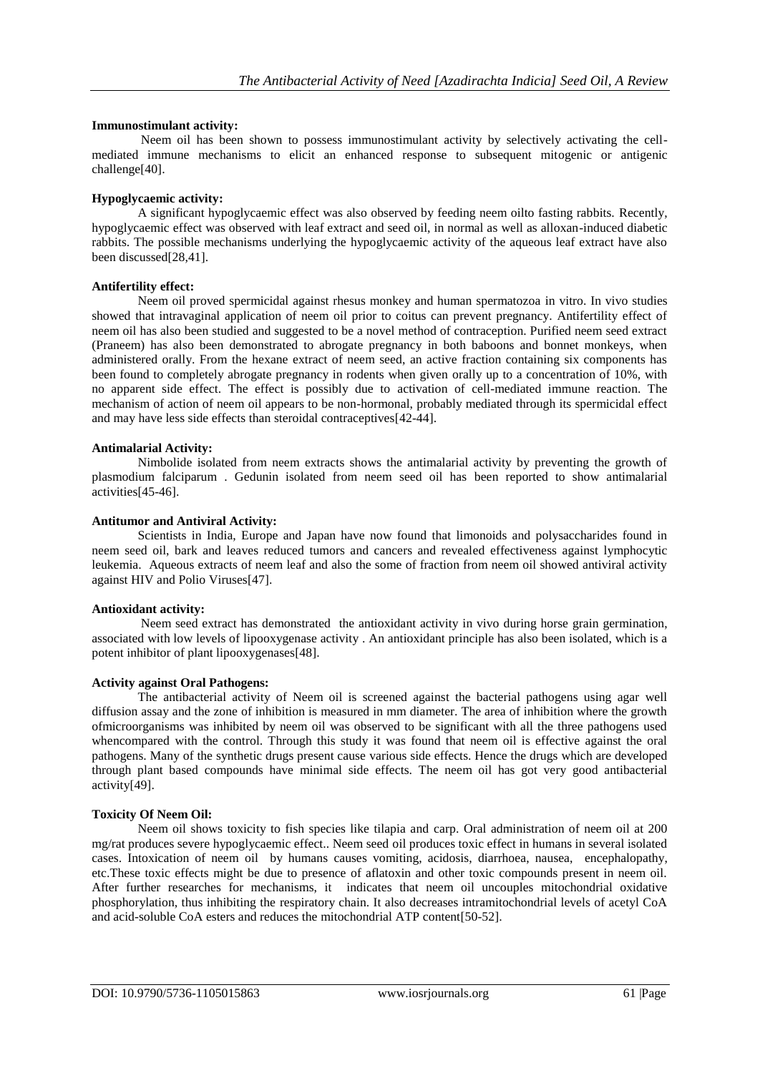#### **Immunostimulant activity:**

Neem oil has been shown to possess immunostimulant activity by selectively activating the cellmediated immune mechanisms to elicit an enhanced response to subsequent mitogenic or antigenic challenge[40].

### **Hypoglycaemic activity:**

A significant hypoglycaemic effect was also observed by feeding neem oilto fasting rabbits. Recently, hypoglycaemic effect was observed with leaf extract and seed oil, in normal as well as alloxan-induced diabetic rabbits. The possible mechanisms underlying the hypoglycaemic activity of the aqueous leaf extract have also been discussed[28,41].

### **Antifertility effect:**

Neem oil proved spermicidal against rhesus monkey and human spermatozoa in vitro. In vivo studies showed that intravaginal application of neem oil prior to coitus can prevent pregnancy. Antifertility effect of neem oil has also been studied and suggested to be a novel method of contraception. Purified neem seed extract (Praneem) has also been demonstrated to abrogate pregnancy in both baboons and bonnet monkeys, when administered orally. From the hexane extract of neem seed, an active fraction containing six components has been found to completely abrogate pregnancy in rodents when given orally up to a concentration of 10%, with no apparent side effect. The effect is possibly due to activation of cell-mediated immune reaction. The mechanism of action of neem oil appears to be non-hormonal, probably mediated through its spermicidal effect and may have less side effects than steroidal contraceptives[42-44].

### **Antimalarial Activity:**

Nimbolide isolated from neem extracts shows the antimalarial activity by preventing the growth of plasmodium falciparum . Gedunin isolated from neem seed oil has been reported to show antimalarial activities[45-46].

### **Antitumor and Antiviral Activity:**

Scientists in India, Europe and Japan have now found that limonoids and polysaccharides found in neem seed oil, bark and leaves reduced tumors and cancers and revealed effectiveness against lymphocytic leukemia. Aqueous extracts of neem leaf and also the some of fraction from neem oil showed antiviral activity against HIV and Polio Viruses[47].

#### **Antioxidant activity:**

Neem seed extract has demonstrated the antioxidant activity in vivo during horse grain germination, associated with low levels of lipooxygenase activity . An antioxidant principle has also been isolated, which is a potent inhibitor of plant lipooxygenases[48].

## **Activity against Oral Pathogens:**

The antibacterial activity of Neem oil is screened against the bacterial pathogens using agar well diffusion assay and the zone of inhibition is measured in mm diameter. The area of inhibition where the growth ofmicroorganisms was inhibited by neem oil was observed to be significant with all the three pathogens used whencompared with the control. Through this study it was found that neem oil is effective against the oral pathogens. Many of the synthetic drugs present cause various side effects. Hence the drugs which are developed through plant based compounds have minimal side effects. The neem oil has got very good antibacterial activity[49].

### **Toxicity Of Neem Oil:**

Neem oil shows toxicity to fish species like tilapia and carp. Oral administration of neem oil at 200 mg/rat produces severe hypoglycaemic effect.. Neem seed oil produces toxic effect in humans in several isolated cases. Intoxication of neem oil by humans causes vomiting, acidosis, diarrhoea, nausea, encephalopathy, etc.These toxic effects might be due to presence of aflatoxin and other toxic compounds present in neem oil. After further researches for mechanisms, it indicates that neem oil uncouples mitochondrial oxidative phosphorylation, thus inhibiting the respiratory chain. It also decreases intramitochondrial levels of acetyl CoA and acid-soluble CoA esters and reduces the mitochondrial ATP content[50-52].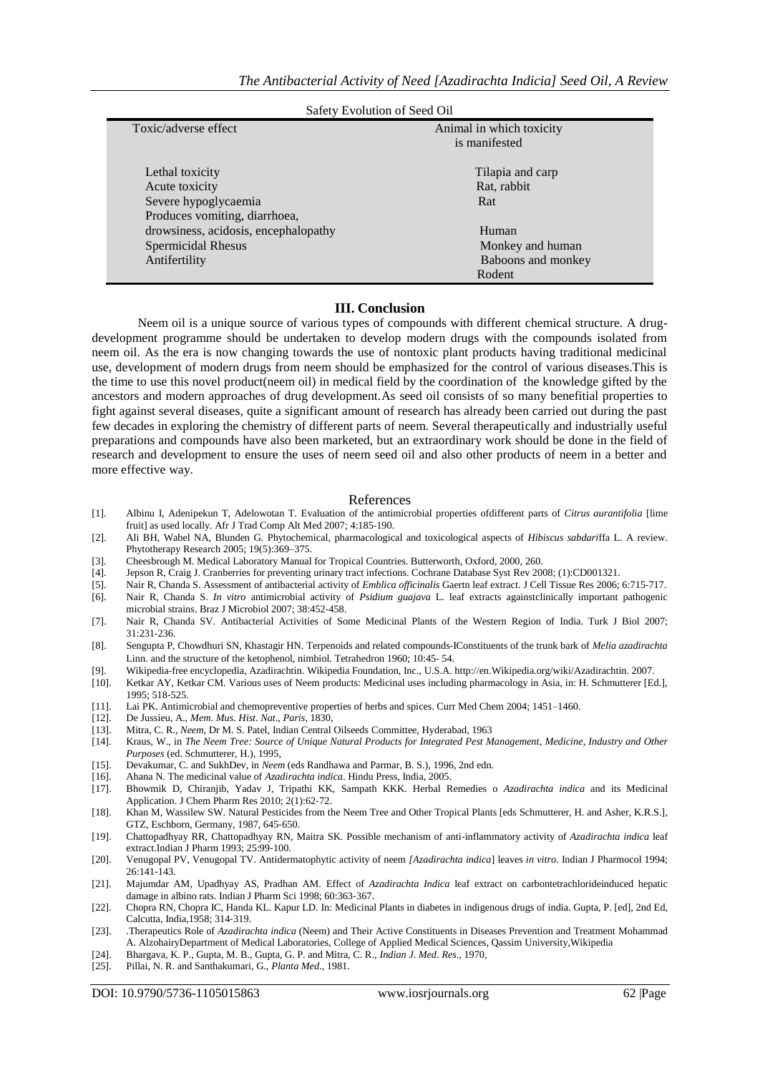| Salety Evolution of Seed Oil         |                          |  |  |  |
|--------------------------------------|--------------------------|--|--|--|
| Toxic/adverse effect                 | Animal in which toxicity |  |  |  |
|                                      | is manifested            |  |  |  |
|                                      |                          |  |  |  |
| Lethal toxicity                      | Tilapia and carp         |  |  |  |
| Acute toxicity                       | Rat, rabbit              |  |  |  |
| Severe hypoglycaemia                 | Rat                      |  |  |  |
| Produces vomiting, diarrhoea,        |                          |  |  |  |
| drowsiness, acidosis, encephalopathy | Human                    |  |  |  |
| Spermicidal Rhesus                   | Monkey and human         |  |  |  |
| Antifertility                        | Baboons and monkey       |  |  |  |
|                                      | Rodent                   |  |  |  |

### Safety Evolution of Seed Oil

#### **III. Conclusion**

Neem oil is a unique source of various types of compounds with different chemical structure. A drugdevelopment programme should be undertaken to develop modern drugs with the compounds isolated from neem oil. As the era is now changing towards the use of nontoxic plant products having traditional medicinal use, development of modern drugs from neem should be emphasized for the control of various diseases.This is the time to use this novel product(neem oil) in medical field by the coordination of the knowledge gifted by the ancestors and modern approaches of drug development.As seed oil consists of so many benefitial properties to fight against several diseases, quite a significant amount of research has already been carried out during the past few decades in exploring the chemistry of different parts of neem. Several therapeutically and industrially useful preparations and compounds have also been marketed, but an extraordinary work should be done in the field of research and development to ensure the uses of neem seed oil and also other products of neem in a better and more effective way.

#### References

- [1]. Albinu I, Adenipekun T, Adelowotan T. Evaluation of the antimicrobial properties ofdifferent parts of *Citrus aurantifolia* [lime fruit] as used locally. Afr J Trad Comp Alt Med 2007; 4:185‐190.
- [2]. Ali BH, Wabel NA, Blunden G. Phytochemical, pharmacological and toxicological aspects of *Hibiscus sabdari*ffa L. A review. Phytotherapy Research 2005; 19(5):369–375.
- [3]. Cheesbrough M. Medical Laboratory Manual for Tropical Countries. Butterworth, Oxford, 2000, 260.
- [4]. Jepson R, Craig J. Cranberries for preventing urinary tract infections. Cochrane Database Syst Rev 2008; (1):CD001321.
- [5]. Nair R, Chanda S. Assessment of antibacterial activity of *Emblica officinalis* Gaertn leaf extract. J Cell Tissue Res 2006; 6:715‐717.
- [6]. Nair R, Chanda S. *In vitro* antimicrobial activity of *Psidium guajava* L. leaf extracts againstclinically important pathogenic microbial strains. Braz J Microbiol 2007; 38:452‐458.
- [7]. Nair R, Chanda SV. Antibacterial Activities of Some Medicinal Plants of the Western Region of India. Turk J Biol 2007; 31:231‐236.
- [8]. Sengupta P, Chowdhuri SN, Khastagir HN. Terpenoids and related compounds‐IConstituents of the trunk bark of *Melia azadirachta*  Linn. and the structure of the ketophenol, nimbiol. Tetrahedron 1960; 10:45‐ 54.
- 
- [9]. Wikipedia‐free encyclopedia, Azadirachtin. Wikipedia Foundation, Inc., U.S.A. http://en.Wikipedia.org/wiki/Azadirachtin. 2007. [10]. Ketkar AY, Ketkar CM. Various uses of Neem products: Medicinal uses including pharmacology in Asia, in: H. Schmutterer [Ed.], 1995; 518‐525.
- [11]. Lai PK. Antimicrobial and chemopreventive properties of herbs and spices. Curr Med Chem 2004; 1451–1460. [12]. De Jussieu, A., *Mem. Mus. Hist. Nat., Paris*, 1830,
- [12]. De Jussieu, A., *Mem*. *Mus*. *Hist*. *Nat*., *Paris*, 1830,
- [13]. Mitra, C. R., *Neem*, Dr M. S. Patel, Indian Central Oilseeds Committee, Hyderabad, 1963
- [14]. Kraus, W., in *The Neem Tree: Source of Unique Natural Products for Integrated Pest Management*, *Medicine*, *Industry and Other Purposes* (ed. Schmutterer, H.), 1995,
- [15]. Devakumar, C. and SukhDev, in *Neem* (eds Randhawa and Parmar, B. S.), 1996, 2nd edn.
- [16]. Ahana N. The medicinal value of *Azadirachta indica*. Hindu Press, India, 2005.
- [17]. Bhowmik D, Chiranjib, Yadav J, Tripathi KK, Sampath KKK. Herbal Remedies o *Azadirachta indica* and its Medicinal Application. J Chem Pharm Res 2010; 2(1):62‐72.
- [18]. Khan M, Wassilew SW. Natural Pesticides from the Neem Tree and Other Tropical Plants [eds Schmutterer, H. and Asher, K.R.S.], GTZ, Eschborn, Germany, 1987, 645‐650.
- [19]. Chattopadhyay RR, Chattopadhyay RN, Maitra SK. Possible mechanism of anti‐inflammatory activity of *Azadirachta indica* leaf extract.Indian J Pharm 1993; 25:99‐100.
- [20]. Venugopal PV, Venugopal TV. Antidermatophytic activity of neem *[Azadirachta indica*] leaves *in vitro*. Indian J Pharmocol 1994; 26:141‐143.
- [21]. Majumdar AM, Upadhyay AS, Pradhan AM. Effect of *Azadirachta Indica* leaf extract on carbontetrachlorideinduced hepatic damage in albino rats. Indian J Pharm Sci 1998; 60:363‐367.
- [22]. Chopra RN, Chopra IC, Handa KL. Kapur LD. In: Medicinal Plants in diabetes in indigenous drugs of india. Gupta, P. [ed], 2nd Ed, Calcutta, India,1958; 314‐319.
- [23]. .Therapeutics Role of *Azadirachta indica* (Neem) and Their Active Constituents in Diseases Prevention and Treatment Mohammad A. AlzohairyDepartment of Medical Laboratories, College of Applied Medical Sciences, Qassim University,Wikipedia
- [24]. Bhargava, K. P., Gupta, M. B., Gupta, G. P. and Mitra, C. R., *Indian J*. *Med*. *Res*., 1970,
- [25]. Pillai, N. R. and Santhakumari, G., *Planta Med*., 1981.